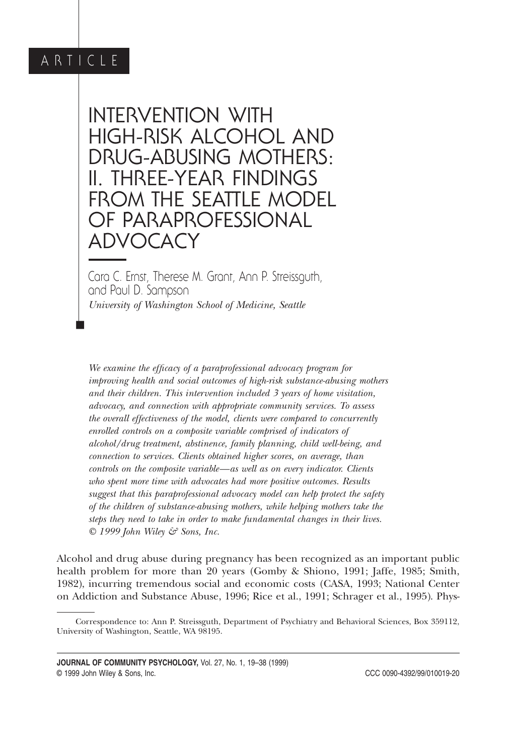# ARTICLE

■

# INTERVENTION WITH H-RISK ALCOHOL AND DRUG-ABUSING MOTHERS: **EE-YEAR FINDINGS** THE SEATTLE MODEL ARAPROFESSIONAL  $\Delta$ C

Cara C. Ernst, Therese M. Grant, Ann P. Streissguth, and Paul D. Sampson *University of Washington School of Medicine, Seattle*

*We examine the efficacy of a paraprofessional advocacy program for improving health and social outcomes of high-risk substance-abusing mothers and their children. This intervention included 3 years of home visitation, advocacy, and connection with appropriate community services. To assess the overall effectiveness of the model, clients were compared to concurrently enrolled controls on a composite variable comprised of indicators of alcohol/drug treatment, abstinence, family planning, child well-being, and connection to services. Clients obtained higher scores, on average, than controls on the composite variable—as well as on every indicator. Clients who spent more time with advocates had more positive outcomes. Results suggest that this paraprofessional advocacy model can help protect the safety of the children of substance-abusing mothers, while helping mothers take the steps they need to take in order to make fundamental changes in their lives. © 1999 John Wiley & Sons, Inc.*

Alcohol and drug abuse during pregnancy has been recognized as an important public health problem for more than 20 years (Gomby & Shiono, 1991; Jaffe, 1985; Smith, 1982), incurring tremendous social and economic costs (CASA, 1993; National Center on Addiction and Substance Abuse, 1996; Rice et al., 1991; Schrager et al., 1995). Phys-

**JOURNAL OF COMMUNITY PSYCHOLOGY,** Vol. 27, No. 1, 19–38 (1999) © 1999 John Wiley & Sons, Inc. CCC 0090-4392/99/010019-20

Correspondence to: Ann P. Streissguth, Department of Psychiatry and Behavioral Sciences, Box 359112, University of Washington, Seattle, WA 98195.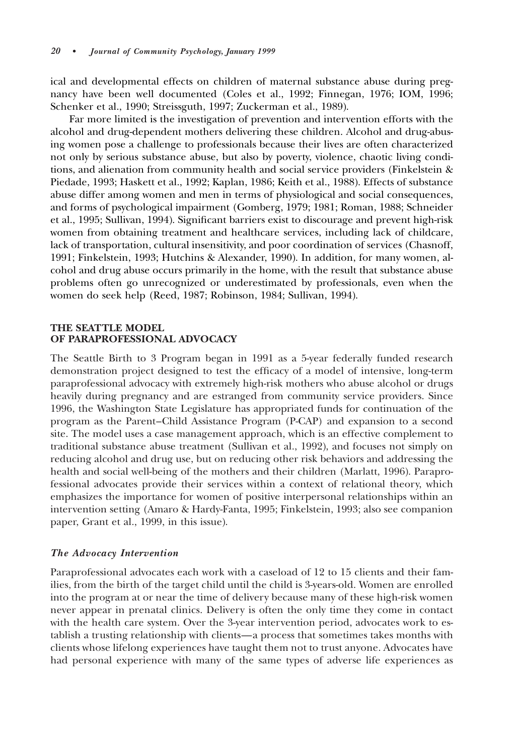ical and developmental effects on children of maternal substance abuse during pregnancy have been well documented (Coles et al., 1992; Finnegan, 1976; IOM, 1996; Schenker et al., 1990; Streissguth, 1997; Zuckerman et al., 1989).

Far more limited is the investigation of prevention and intervention efforts with the alcohol and drug-dependent mothers delivering these children. Alcohol and drug-abusing women pose a challenge to professionals because their lives are often characterized not only by serious substance abuse, but also by poverty, violence, chaotic living conditions, and alienation from community health and social service providers (Finkelstein & Piedade, 1993; Haskett et al., 1992; Kaplan, 1986; Keith et al., 1988). Effects of substance abuse differ among women and men in terms of physiological and social consequences, and forms of psychological impairment (Gomberg, 1979; 1981; Roman, 1988; Schneider et al., 1995; Sullivan, 1994). Significant barriers exist to discourage and prevent high-risk women from obtaining treatment and healthcare services, including lack of childcare, lack of transportation, cultural insensitivity, and poor coordination of services (Chasnoff, 1991; Finkelstein, 1993; Hutchins & Alexander, 1990). In addition, for many women, alcohol and drug abuse occurs primarily in the home, with the result that substance abuse problems often go unrecognized or underestimated by professionals, even when the women do seek help (Reed, 1987; Robinson, 1984; Sullivan, 1994).

# **THE SEATTLE MODEL OF PARAPROFESSIONAL ADVOCACY**

The Seattle Birth to 3 Program began in 1991 as a 5-year federally funded research demonstration project designed to test the efficacy of a model of intensive, long-term paraprofessional advocacy with extremely high-risk mothers who abuse alcohol or drugs heavily during pregnancy and are estranged from community service providers. Since 1996, the Washington State Legislature has appropriated funds for continuation of the program as the Parent–Child Assistance Program (P-CAP) and expansion to a second site. The model uses a case management approach, which is an effective complement to traditional substance abuse treatment (Sullivan et al., 1992), and focuses not simply on reducing alcohol and drug use, but on reducing other risk behaviors and addressing the health and social well-being of the mothers and their children (Marlatt, 1996). Paraprofessional advocates provide their services within a context of relational theory, which emphasizes the importance for women of positive interpersonal relationships within an intervention setting (Amaro & Hardy-Fanta, 1995; Finkelstein, 1993; also see companion paper, Grant et al., 1999, in this issue).

### *The Advocacy Intervention*

Paraprofessional advocates each work with a caseload of 12 to 15 clients and their families, from the birth of the target child until the child is 3-years-old. Women are enrolled into the program at or near the time of delivery because many of these high-risk women never appear in prenatal clinics. Delivery is often the only time they come in contact with the health care system. Over the 3-year intervention period, advocates work to establish a trusting relationship with clients—a process that sometimes takes months with clients whose lifelong experiences have taught them not to trust anyone. Advocates have had personal experience with many of the same types of adverse life experiences as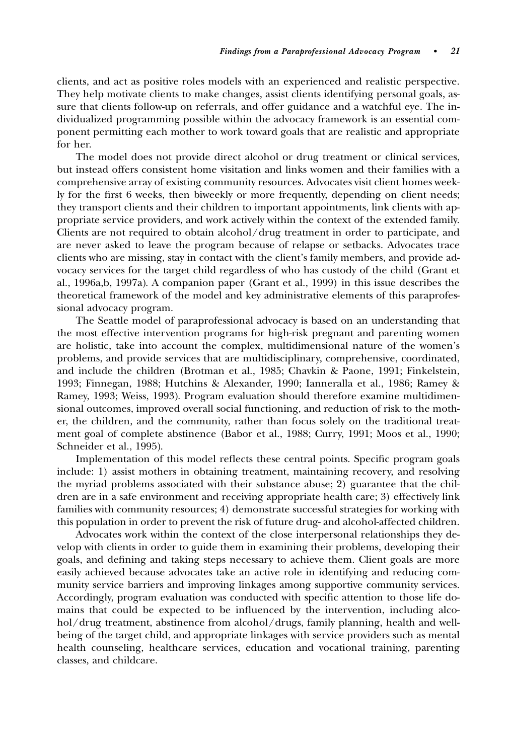clients, and act as positive roles models with an experienced and realistic perspective. They help motivate clients to make changes, assist clients identifying personal goals, assure that clients follow-up on referrals, and offer guidance and a watchful eye. The individualized programming possible within the advocacy framework is an essential component permitting each mother to work toward goals that are realistic and appropriate for her.

The model does not provide direct alcohol or drug treatment or clinical services, but instead offers consistent home visitation and links women and their families with a comprehensive array of existing community resources. Advocates visit client homes weekly for the first 6 weeks, then biweekly or more frequently, depending on client needs; they transport clients and their children to important appointments, link clients with appropriate service providers, and work actively within the context of the extended family. Clients are not required to obtain alcohol/drug treatment in order to participate, and are never asked to leave the program because of relapse or setbacks. Advocates trace clients who are missing, stay in contact with the client's family members, and provide advocacy services for the target child regardless of who has custody of the child (Grant et al., 1996a,b, 1997a). A companion paper (Grant et al., 1999) in this issue describes the theoretical framework of the model and key administrative elements of this paraprofessional advocacy program.

The Seattle model of paraprofessional advocacy is based on an understanding that the most effective intervention programs for high-risk pregnant and parenting women are holistic, take into account the complex, multidimensional nature of the women's problems, and provide services that are multidisciplinary, comprehensive, coordinated, and include the children (Brotman et al., 1985; Chavkin & Paone, 1991; Finkelstein, 1993; Finnegan, 1988; Hutchins & Alexander, 1990; Ianneralla et al., 1986; Ramey & Ramey, 1993; Weiss, 1993). Program evaluation should therefore examine multidimensional outcomes, improved overall social functioning, and reduction of risk to the mother, the children, and the community, rather than focus solely on the traditional treatment goal of complete abstinence (Babor et al., 1988; Curry, 1991; Moos et al., 1990; Schneider et al., 1995).

Implementation of this model reflects these central points. Specific program goals include: 1) assist mothers in obtaining treatment, maintaining recovery, and resolving the myriad problems associated with their substance abuse; 2) guarantee that the children are in a safe environment and receiving appropriate health care; 3) effectively link families with community resources; 4) demonstrate successful strategies for working with this population in order to prevent the risk of future drug- and alcohol-affected children.

Advocates work within the context of the close interpersonal relationships they develop with clients in order to guide them in examining their problems, developing their goals, and defining and taking steps necessary to achieve them. Client goals are more easily achieved because advocates take an active role in identifying and reducing community service barriers and improving linkages among supportive community services. Accordingly, program evaluation was conducted with specific attention to those life domains that could be expected to be influenced by the intervention, including alcohol/drug treatment, abstinence from alcohol/drugs, family planning, health and wellbeing of the target child, and appropriate linkages with service providers such as mental health counseling, healthcare services, education and vocational training, parenting classes, and childcare.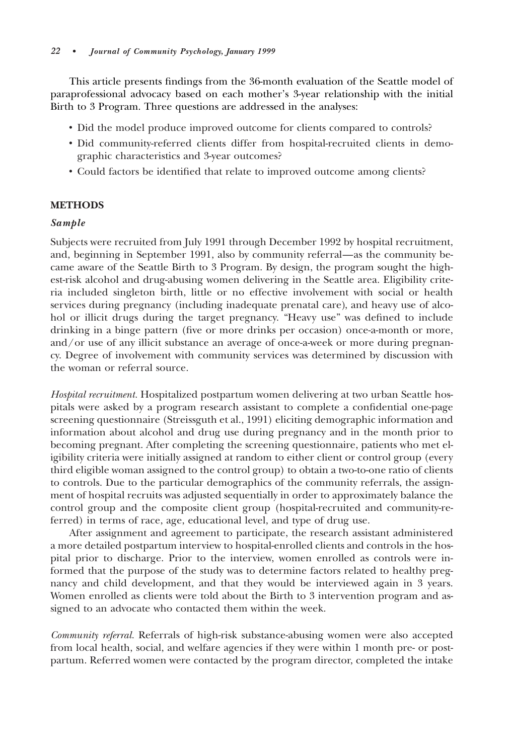This article presents findings from the 36-month evaluation of the Seattle model of paraprofessional advocacy based on each mother's 3-year relationship with the initial Birth to 3 Program. Three questions are addressed in the analyses:

- Did the model produce improved outcome for clients compared to controls?
- Did community-referred clients differ from hospital-recruited clients in demographic characteristics and 3-year outcomes?
- Could factors be identified that relate to improved outcome among clients?

# **METHODS**

### *Sample*

Subjects were recruited from July 1991 through December 1992 by hospital recruitment, and, beginning in September 1991, also by community referral—as the community became aware of the Seattle Birth to 3 Program. By design, the program sought the highest-risk alcohol and drug-abusing women delivering in the Seattle area. Eligibility criteria included singleton birth, little or no effective involvement with social or health services during pregnancy (including inadequate prenatal care), and heavy use of alcohol or illicit drugs during the target pregnancy. "Heavy use" was defined to include drinking in a binge pattern (five or more drinks per occasion) once-a-month or more, and/or use of any illicit substance an average of once-a-week or more during pregnancy. Degree of involvement with community services was determined by discussion with the woman or referral source.

*Hospital recruitment.* Hospitalized postpartum women delivering at two urban Seattle hospitals were asked by a program research assistant to complete a confidential one-page screening questionnaire (Streissguth et al., 1991) eliciting demographic information and information about alcohol and drug use during pregnancy and in the month prior to becoming pregnant. After completing the screening questionnaire, patients who met eligibility criteria were initially assigned at random to either client or control group (every third eligible woman assigned to the control group) to obtain a two-to-one ratio of clients to controls. Due to the particular demographics of the community referrals, the assignment of hospital recruits was adjusted sequentially in order to approximately balance the control group and the composite client group (hospital-recruited and community-referred) in terms of race, age, educational level, and type of drug use.

After assignment and agreement to participate, the research assistant administered a more detailed postpartum interview to hospital-enrolled clients and controls in the hospital prior to discharge. Prior to the interview, women enrolled as controls were informed that the purpose of the study was to determine factors related to healthy pregnancy and child development, and that they would be interviewed again in 3 years. Women enrolled as clients were told about the Birth to 3 intervention program and assigned to an advocate who contacted them within the week.

*Community referral.* Referrals of high-risk substance-abusing women were also accepted from local health, social, and welfare agencies if they were within 1 month pre- or postpartum. Referred women were contacted by the program director, completed the intake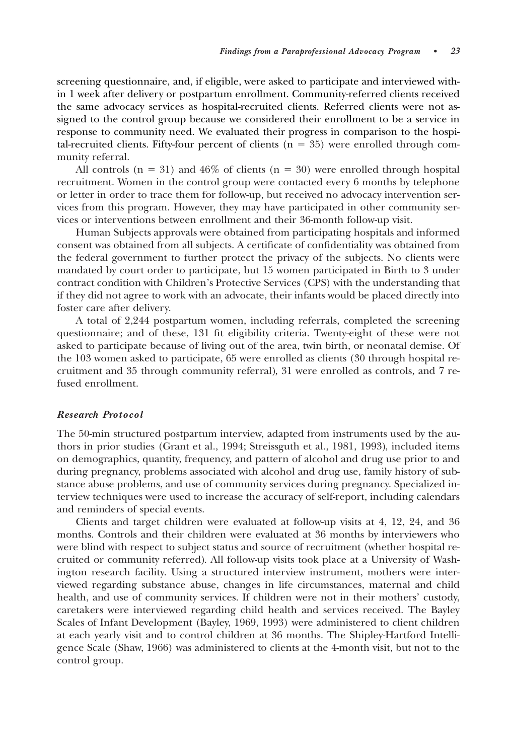screening questionnaire, and, if eligible, were asked to participate and interviewed within 1 week after delivery or postpartum enrollment. Community-referred clients received the same advocacy services as hospital-recruited clients. Referred clients were not assigned to the control group because we considered their enrollment to be a service in response to community need. We evaluated their progress in comparison to the hospital-recruited clients. Fifty-four percent of clients ( $n = 35$ ) were enrolled through community referral.

All controls ( $n = 31$ ) and 46% of clients ( $n = 30$ ) were enrolled through hospital recruitment. Women in the control group were contacted every 6 months by telephone or letter in order to trace them for follow-up, but received no advocacy intervention services from this program. However, they may have participated in other community services or interventions between enrollment and their 36-month follow-up visit.

Human Subjects approvals were obtained from participating hospitals and informed consent was obtained from all subjects. A certificate of confidentiality was obtained from the federal government to further protect the privacy of the subjects. No clients were mandated by court order to participate, but 15 women participated in Birth to 3 under contract condition with Children's Protective Services (CPS) with the understanding that if they did not agree to work with an advocate, their infants would be placed directly into foster care after delivery.

A total of 2,244 postpartum women, including referrals, completed the screening questionnaire; and of these, 131 fit eligibility criteria. Twenty-eight of these were not asked to participate because of living out of the area, twin birth, or neonatal demise. Of the 103 women asked to participate, 65 were enrolled as clients (30 through hospital recruitment and 35 through community referral), 31 were enrolled as controls, and 7 refused enrollment.

#### *Research Protocol*

The 50-min structured postpartum interview, adapted from instruments used by the authors in prior studies (Grant et al., 1994; Streissguth et al., 1981, 1993), included items on demographics, quantity, frequency, and pattern of alcohol and drug use prior to and during pregnancy, problems associated with alcohol and drug use, family history of substance abuse problems, and use of community services during pregnancy. Specialized interview techniques were used to increase the accuracy of self-report, including calendars and reminders of special events.

Clients and target children were evaluated at follow-up visits at 4, 12, 24, and 36 months. Controls and their children were evaluated at 36 months by interviewers who were blind with respect to subject status and source of recruitment (whether hospital recruited or community referred). All follow-up visits took place at a University of Washington research facility. Using a structured interview instrument, mothers were interviewed regarding substance abuse, changes in life circumstances, maternal and child health, and use of community services. If children were not in their mothers' custody, caretakers were interviewed regarding child health and services received. The Bayley Scales of Infant Development (Bayley, 1969, 1993) were administered to client children at each yearly visit and to control children at 36 months. The Shipley-Hartford Intelligence Scale (Shaw, 1966) was administered to clients at the 4-month visit, but not to the control group.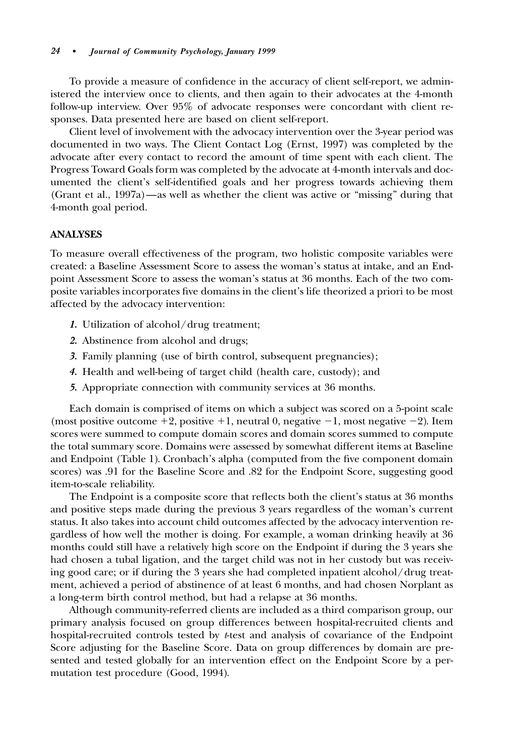To provide a measure of confidence in the accuracy of client self-report, we administered the interview once to clients, and then again to their advocates at the 4-month follow-up interview. Over 95% of advocate responses were concordant with client responses. Data presented here are based on client self-report.

Client level of involvement with the advocacy intervention over the 3-year period was documented in two ways. The Client Contact Log (Ernst, 1997) was completed by the advocate after every contact to record the amount of time spent with each client. The Progress Toward Goals form was completed by the advocate at 4-month intervals and documented the client's self-identified goals and her progress towards achieving them (Grant et al., 1997a)—as well as whether the client was active or "missing" during that 4-month goal period.

### **ANALYSES**

To measure overall effectiveness of the program, two holistic composite variables were created: a Baseline Assessment Score to assess the woman's status at intake, and an Endpoint Assessment Score to assess the woman's status at 36 months. Each of the two composite variables incorporates five domains in the client's life theorized a priori to be most affected by the advocacy intervention:

- *1.* Utilization of alcohol/drug treatment;
- *2.* Abstinence from alcohol and drugs;
- *3.* Family planning (use of birth control, subsequent pregnancies);
- *4.* Health and well-being of target child (health care, custody); and
- *5.* Appropriate connection with community services at 36 months.

Each domain is comprised of items on which a subject was scored on a 5-point scale (most positive outcome  $+2$ , positive  $+1$ , neutral 0, negative  $-1$ , most negative  $-2$ ). Item scores were summed to compute domain scores and domain scores summed to compute the total summary score. Domains were assessed by somewhat different items at Baseline and Endpoint (Table 1). Cronbach's alpha (computed from the five component domain scores) was .91 for the Baseline Score and .82 for the Endpoint Score, suggesting good item-to-scale reliability.

The Endpoint is a composite score that reflects both the client's status at 36 months and positive steps made during the previous 3 years regardless of the woman's current status. It also takes into account child outcomes affected by the advocacy intervention regardless of how well the mother is doing. For example, a woman drinking heavily at 36 months could still have a relatively high score on the Endpoint if during the 3 years she had chosen a tubal ligation, and the target child was not in her custody but was receiving good care; or if during the 3 years she had completed inpatient alcohol/drug treatment, achieved a period of abstinence of at least 6 months, and had chosen Norplant as a long-term birth control method, but had a relapse at 36 months.

Although community-referred clients are included as a third comparison group, our primary analysis focused on group differences between hospital-recruited clients and hospital-recruited controls tested by *t*-test and analysis of covariance of the Endpoint Score adjusting for the Baseline Score. Data on group differences by domain are presented and tested globally for an intervention effect on the Endpoint Score by a permutation test procedure (Good, 1994).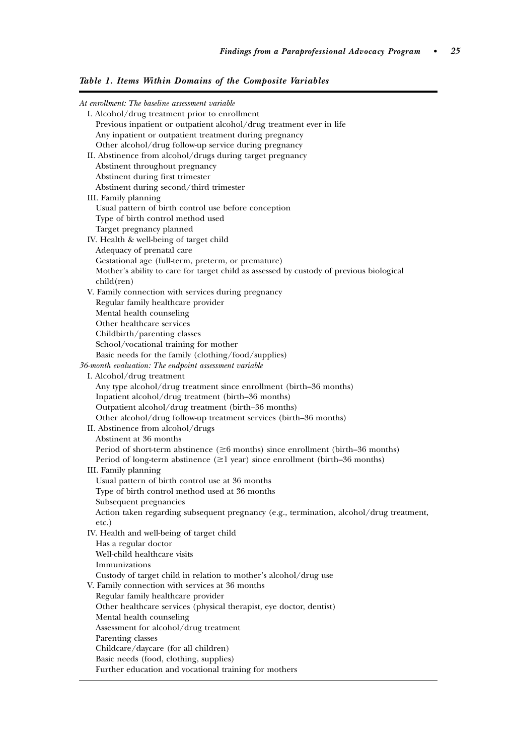| At enrollment: The baseline assessment variable                                           |
|-------------------------------------------------------------------------------------------|
| I. Alcohol/drug treatment prior to enrollment                                             |
| Previous inpatient or outpatient alcohol/drug treatment ever in life                      |
| Any inpatient or outpatient treatment during pregnancy                                    |
| Other alcohol/drug follow-up service during pregnancy                                     |
| II. Abstinence from alcohol/drugs during target pregnancy                                 |
| Abstinent throughout pregnancy                                                            |
| Abstinent during first trimester                                                          |
| Abstinent during second/third trimester                                                   |
| III. Family planning                                                                      |
| Usual pattern of birth control use before conception                                      |
| Type of birth control method used                                                         |
| Target pregnancy planned                                                                  |
| IV. Health & well-being of target child                                                   |
| Adequacy of prenatal care                                                                 |
| Gestational age (full-term, preterm, or premature)                                        |
| Mother's ability to care for target child as assessed by custody of previous biological   |
| child(ren)                                                                                |
| V. Family connection with services during pregnancy<br>Regular family healthcare provider |
| Mental health counseling                                                                  |
| Other healthcare services                                                                 |
| Childbirth/parenting classes                                                              |
| School/vocational training for mother                                                     |
| Basic needs for the family (clothing/food/supplies)                                       |
| 36-month evaluation. The endpoint assessment variable                                     |
| I. Alcohol/drug treatment                                                                 |
| Any type alcohol/drug treatment since enrollment (birth–36 months)                        |
| Inpatient alcohol/drug treatment (birth-36 months)                                        |
| Outpatient alcohol/drug treatment (birth-36 months)                                       |
| Other alcohol/drug follow-up treatment services (birth-36 months)                         |
| II. Abstinence from alcohol/drugs                                                         |
| Abstinent at 36 months                                                                    |
| Period of short-term abstinence ( $\geq 6$ months) since enrollment (birth–36 months)     |
| Period of long-term abstinence $(\geq 1$ year) since enrollment (birth–36 months)         |
| III. Family planning                                                                      |
| Usual pattern of birth control use at 36 months                                           |
| Type of birth control method used at 36 months                                            |
| Subsequent pregnancies                                                                    |
| Action taken regarding subsequent pregnancy (e.g., termination, alcohol/drug treatment,   |
| etc.)                                                                                     |
| IV. Health and well-being of target child                                                 |
| Has a regular doctor                                                                      |
| Well-child healthcare visits                                                              |
| Immunizations                                                                             |
| Custody of target child in relation to mother's alcohol/drug use                          |
| V. Family connection with services at 36 months                                           |
| Regular family healthcare provider                                                        |
| Other healthcare services (physical therapist, eye doctor, dentist)                       |
| Mental health counseling                                                                  |
| Assessment for alcohol/drug treatment<br>Parenting classes                                |
| Childcare/daycare (for all children)                                                      |
| Basic needs (food, clothing, supplies)                                                    |
| Further education and vocational training for mothers                                     |
|                                                                                           |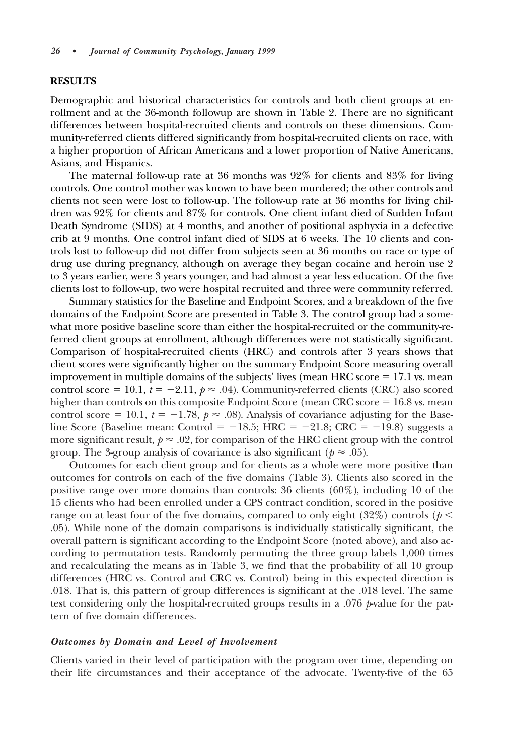#### **RESULTS**

Demographic and historical characteristics for controls and both client groups at enrollment and at the 36-month followup are shown in Table 2. There are no significant differences between hospital-recruited clients and controls on these dimensions. Community-referred clients differed significantly from hospital-recruited clients on race, with a higher proportion of African Americans and a lower proportion of Native Americans, Asians, and Hispanics.

The maternal follow-up rate at 36 months was 92% for clients and 83% for living controls. One control mother was known to have been murdered; the other controls and clients not seen were lost to follow-up. The follow-up rate at 36 months for living children was 92% for clients and 87% for controls. One client infant died of Sudden Infant Death Syndrome (SIDS) at 4 months, and another of positional asphyxia in a defective crib at 9 months. One control infant died of SIDS at 6 weeks. The 10 clients and controls lost to follow-up did not differ from subjects seen at 36 months on race or type of drug use during pregnancy, although on average they began cocaine and heroin use 2 to 3 years earlier, were 3 years younger, and had almost a year less education. Of the five clients lost to follow-up, two were hospital recruited and three were community referred.

Summary statistics for the Baseline and Endpoint Scores, and a breakdown of the five domains of the Endpoint Score are presented in Table 3. The control group had a somewhat more positive baseline score than either the hospital-recruited or the community-referred client groups at enrollment, although differences were not statistically significant. Comparison of hospital-recruited clients (HRC) and controls after 3 years shows that client scores were significantly higher on the summary Endpoint Score measuring overall improvement in multiple domains of the subjects' lives (mean HRC score  $= 17.1$  vs. mean control score = 10.1,  $t = -2.11$ ,  $p \approx .04$ ). Community-referred clients (CRC) also scored higher than controls on this composite Endpoint Score (mean CRC score  $= 16.8$  vs. mean control score = 10.1,  $t = -1.78$ ,  $p \approx .08$ ). Analysis of covariance adjusting for the Baseline Score (Baseline mean: Control =  $-18.5$ ; HRC =  $-21.8$ ; CRC =  $-19.8$ ) suggests a more significant result,  $p \approx .02$ , for comparison of the HRC client group with the control group. The 3-group analysis of covariance is also significant ( $p \approx .05$ ).

Outcomes for each client group and for clients as a whole were more positive than outcomes for controls on each of the five domains (Table 3). Clients also scored in the positive range over more domains than controls: 36 clients (60%), including 10 of the 15 clients who had been enrolled under a CPS contract condition, scored in the positive range on at least four of the five domains, compared to only eight  $(32\%)$  controls ( $p <$ .05). While none of the domain comparisons is individually statistically significant, the overall pattern is significant according to the Endpoint Score (noted above), and also according to permutation tests. Randomly permuting the three group labels 1,000 times and recalculating the means as in Table 3, we find that the probability of all 10 group differences (HRC vs. Control and CRC vs. Control) being in this expected direction is .018. That is, this pattern of group differences is significant at the .018 level. The same test considering only the hospital-recruited groups results in a .076 *p*-value for the pattern of five domain differences.

#### *Outcomes by Domain and Level of Involvement*

Clients varied in their level of participation with the program over time, depending on their life circumstances and their acceptance of the advocate. Twenty-five of the 65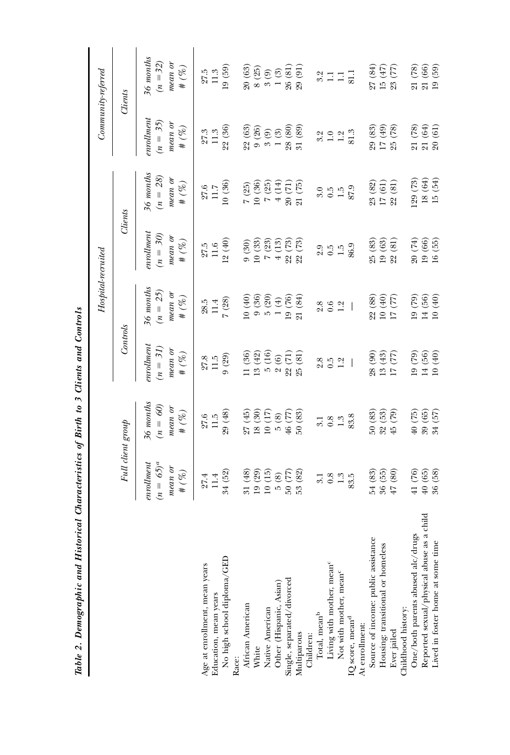|                                           |                                                    |                                                             |                                                     | $\emph{Hospital-recruited}$                                        |                                                                               |                                                      |                                                                           | $Community-referred$                               |
|-------------------------------------------|----------------------------------------------------|-------------------------------------------------------------|-----------------------------------------------------|--------------------------------------------------------------------|-------------------------------------------------------------------------------|------------------------------------------------------|---------------------------------------------------------------------------|----------------------------------------------------|
|                                           |                                                    | Full client group                                           | Controls                                            |                                                                    | Clients                                                                       |                                                      |                                                                           | <b>Clients</b>                                     |
|                                           | $(n = 65)^{a}$<br>envollmeni<br>mean or<br># $(%)$ | 36 months<br>$(n = 60)$<br>mean or<br># $(\%)$              | envollment<br>$(n = 31)$<br>mean or<br># $(%)$      | 36 months<br>$(n = 25)$<br>mean or<br># $(\%)$                     | $\it{prolment}$<br>$(n = 30)$<br>mean or<br># $(%)$                           | 36 months<br>$(n = 28)$<br>mean or<br># $(%)$        | envollmen<br>$(n = 35)$<br>mean or<br># $(%)$                             | 36 months<br>$(n = 32)$<br>mean or<br># $(%)$      |
| Age at enrollment, mean years             | 27.4                                               | 27.6                                                        | 27.8                                                | 28.5                                                               | 27.5                                                                          | 27.6                                                 | 27.3                                                                      | 27.5                                               |
| Education, mean years                     | 11.4                                               | 11.5                                                        | 11.5                                                | 11.4                                                               | 11.6                                                                          | 11.7                                                 | 11.3                                                                      | 11.3                                               |
| No high school diploma/GED                | 34 (52)                                            | 29 (48)                                                     | 9(29)                                               | 7(28)                                                              | 12(40)                                                                        | 10(36)                                               | $22\ (36)$                                                                | 19 (59)                                            |
|                                           |                                                    |                                                             |                                                     |                                                                    |                                                                               |                                                      |                                                                           |                                                    |
| Race:<br>African American                 | 31 (48)                                            | 27(45)                                                      | (1)(36)                                             | 10 (40)                                                            | 9(30)                                                                         | 7(25)                                                | 22(63)                                                                    | 20 (63)                                            |
| White                                     | 19 (29)                                            |                                                             | 13(42)                                              |                                                                    | 10(33)                                                                        | 10(36)                                               |                                                                           | $\begin{array}{c} 8 \ (25) \\ 3 \ (9) \end{array}$ |
| Native American                           | 10(15)                                             |                                                             | 5(16)                                               | $\begin{array}{c} 9 & (36) \\ 5 & (20) \end{array}$<br>(20)        |                                                                               | 7(25)                                                | $\begin{array}{c} 9\ (26) \\ 3\ (9) \end{array}$                          |                                                    |
| Other (Hispanic, Asian)                   | $\frac{5}{6}$                                      | $\begin{array}{c} 18\ (30)\\ 10\ (17)\\ 5\ (8) \end{array}$ | $\begin{array}{c} 2 \ (6) \\ 22 \ (71) \end{array}$ | 1(4)                                                               | $\begin{array}{c} 7 \ (23) \\ 4 \ (13) \\ 22 \ (73) \\ 22 \ (73) \end{array}$ |                                                      | $\left( 3\right)$                                                         | $1\ (3)$                                           |
| Single, separated/divorced                | 50 (77)                                            | 46 (77)                                                     |                                                     | (76)<br>$\overline{19}$                                            |                                                                               | $\begin{array}{c} 4 \ (14) \\ 20 \ (71) \end{array}$ | 28 (80)                                                                   | 26 (81)                                            |
| Multiparous                               | 53 (82)                                            | 50(83)                                                      | (81)<br>25 <sub>1</sub>                             | (84)<br>$\overline{21}$                                            | (73)                                                                          | (75)<br>$\overline{21}$                              | (89)<br>$\overline{31}$                                                   | 29 (91)                                            |
| Children:                                 |                                                    |                                                             |                                                     |                                                                    |                                                                               |                                                      |                                                                           |                                                    |
| Total, mean <sup>b</sup>                  |                                                    | 3.1                                                         | 2.8                                                 | 2.8                                                                | 2.9                                                                           | 3.0                                                  | 3.2                                                                       | 3.2                                                |
| Living with mother, mean <sup>c</sup>     | 0.8                                                | $0.8\,$                                                     | 0.5                                                 | 0.6                                                                | 0.5                                                                           | 0.5                                                  | 1.0                                                                       |                                                    |
| Not with mother, mean <sup>c</sup>        | $1.3\,$                                            | $1.3\,$                                                     | 1.2                                                 | 1.2                                                                | 1.5                                                                           | 1.5                                                  | 1.2                                                                       | $\Xi \equiv \Xi$                                   |
| IQ score, mean <sup>d</sup>               | 83.5                                               | 83.8                                                        | $\bigg $                                            | $\overline{\phantom{a}}$                                           | 86.9                                                                          | 87.9                                                 | 81.3                                                                      |                                                    |
| At enrollment:                            |                                                    |                                                             |                                                     |                                                                    |                                                                               |                                                      |                                                                           |                                                    |
| Source of income: public assistance       | 54(83)                                             | 50(83)                                                      | 28 (90)                                             |                                                                    | 25(83)                                                                        | 23(82)                                               |                                                                           | 27(84)                                             |
| Housing: transitional or homeless         | 36 (55)                                            | (53)                                                        | (43)                                                | $\begin{array}{c} 22 & (88) \\ 10 & (40) \\ 17 & (77) \end{array}$ |                                                                               | (61)<br>$\overline{17}$                              |                                                                           | 15(47)                                             |
| Ever jailed                               | (80)<br>47                                         | (79)<br>32 <sup>45</sup>                                    | (77)<br>$\frac{13}{17}$                             | (77)                                                               | $\frac{19}{22}\frac{(63)}{(81)}$                                              | (81)<br>22                                           | $\begin{pmatrix} 62 \\ 66 \end{pmatrix}$<br>29 (83)<br>17 (49)<br>25 (78) | (77)<br>23                                         |
| Childhood history:                        |                                                    |                                                             |                                                     |                                                                    |                                                                               |                                                      |                                                                           |                                                    |
| One/both parents abused alc/drugs         | (76)<br>$\overline{41}$                            | (75)<br>$\overline{40}$                                     | (52)<br>$\overline{19}$                             | (52)<br>$\overline{19}$                                            |                                                                               | 129(73)                                              | (82)                                                                      | (78)<br>21                                         |
| Reported sexual/physical abuse as a child | 40 (65)                                            | 39 (65)                                                     | (56)<br>14 <sub>1</sub>                             | 14(56)                                                             | $20(74)$<br>19(66)<br>16(55)                                                  | 18 (64)                                              | (64)<br>ล ส ล <b>ู</b>                                                    | 21 (66)                                            |
| Lived in foster home at some time         | (58)<br>36                                         | (57)<br>34                                                  | (40)<br>$\overline{10}$                             | (40)<br>$\overline{10}$                                            | (55)                                                                          | 15(54)                                               | (61)                                                                      | (59)<br>$\overline{19}$                            |

Table 2. Demographic and Historical Characteristics of Birth to 3 Clients and Controls *Table 2. Demographic and Historical Characteristics of Birth to 3 Clients and Contro l s*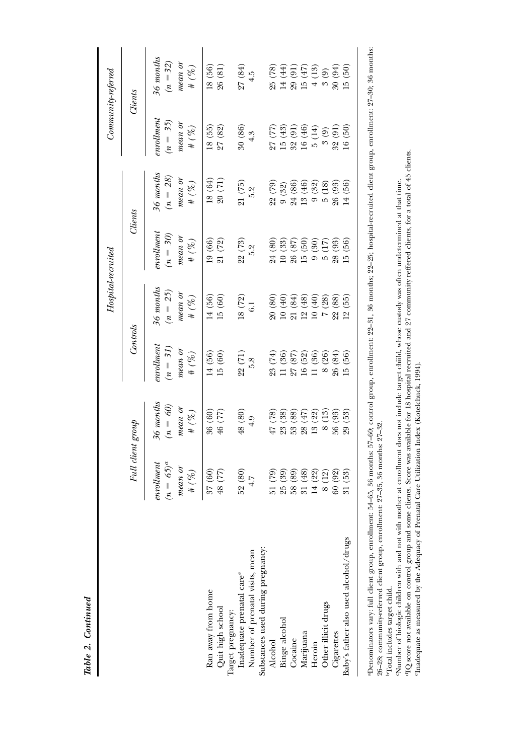Table 2. Continued *Table 2. Continued*

|                                                            |                                                 |                                               |                                                  | $H\!o$ spital-recruited                       |                                                |                                                  | Community-referred                            |                                                                              |
|------------------------------------------------------------|-------------------------------------------------|-----------------------------------------------|--------------------------------------------------|-----------------------------------------------|------------------------------------------------|--------------------------------------------------|-----------------------------------------------|------------------------------------------------------------------------------|
|                                                            |                                                 | Full client group                             | Controls                                         |                                               | Clients                                        |                                                  |                                               | <b>Clients</b>                                                               |
|                                                            | $(n = 65)^a$<br>enrolment<br>mean or<br># $(%)$ | 36 months<br>$(n = 60)$<br>mean or<br># $(%)$ | $m$ rollment<br>mean or<br>$(n = 31)$<br># $(%)$ | 36 months<br>$(n = 25)$<br>mean or<br># $(%)$ | envollment<br>$(n = 30)$<br>mean or<br># $(%)$ | 36 months<br>$(n = 28)$<br>$mean\ or$<br># $(%)$ | envollmen<br>$(n = 35)$<br>mean or<br># $(%)$ | 36 months<br>$(n = 32)$<br>mean or<br># $(%)$                                |
| Ran away from home                                         | 37 (60)                                         | 36 (60)                                       | 14 (56)                                          | 14 (56)                                       | 19 (66)                                        | 18(64)                                           | 18 (55)                                       | 18 (56)                                                                      |
| Quit high school                                           | 48 (77)                                         | 46 (77)                                       | 15(60)                                           | 15(60)                                        | 21(72)                                         | 20(71)                                           | 27(82)                                        | 26(81)                                                                       |
| Farget pregnancy:<br>Inadequate prenatal care <sup>e</sup> |                                                 |                                               |                                                  |                                               |                                                |                                                  |                                               |                                                                              |
|                                                            | 52 (80)                                         | 48 (80)                                       | 22(71)                                           | 18(72)                                        | 22(73)                                         | 21(75)                                           | 30 (86)                                       | 27(84)                                                                       |
| Number of prenatal visits, mean                            | 4.7                                             | 4.9                                           | 5.8                                              | $\overline{61}$                               | 5.2                                            | 5.2                                              | 4.3                                           | 4.5                                                                          |
| Substances used during pregnancy:                          |                                                 |                                               |                                                  |                                               |                                                |                                                  |                                               |                                                                              |
| Alcohol                                                    | (55)                                            | (78)<br>47                                    | (74)<br>23                                       | 20(80)                                        | 24(80)                                         | 22 (79)                                          | 27 (77)                                       | 25 (78)                                                                      |
| Binge alcohol                                              | (39)<br>25 <sub>1</sub>                         | (38)<br>23 <sub>1</sub>                       | (36)                                             | 10(40)                                        | 10(33)                                         | 9(32)                                            | 15(43)                                        |                                                                              |
| Cocaine                                                    | (89)<br>58 <sup>1</sup>                         | (88)<br>53                                    | (87)<br>72                                       | (84)<br>21                                    | 26(87)                                         | 24 (86)                                          | 32(91)                                        | $14\ (44) \\ 29\ (91)$                                                       |
| Marijuana                                                  | (48)                                            | (47)<br>28                                    | (52)<br>16                                       | $^{(48)}$<br>$\overline{12}$                  | 15(50)                                         | 13(46)                                           | $16(46)$                                      |                                                                              |
| Heroin                                                     | (22)<br>$\overline{14}$                         | (22)<br>$\frac{3}{2}$                         | (36)<br>$\Box$                                   | (40)<br>$\overline{a}$                        | $\left( 30\right)$<br>$\circ$                  | 9(32)                                            | (14)<br>ທີ                                    |                                                                              |
| Other illicit drugs                                        | (12)<br>∞                                       | (13)<br>$\infty$                              | (26)<br>$\infty$                                 | (28)                                          | $\left(17\right)$<br>ĩΟ,                       | $^{(18)}$<br>īΟ,                                 | $\begin{pmatrix} 0 \\ 0 \end{pmatrix}$        | $\begin{array}{c} 15 \ (47) \\ 4 \ (13) \\ 3 \ (9) \\ 30 \ (94) \end{array}$ |
| Cigarettes                                                 | 60 (92)                                         | (93)<br>$\frac{56}{5}$                        | 26 (84)                                          | 22 (88)                                       | 28 (93)                                        | 26 (93)                                          | 32 (91)                                       |                                                                              |
| Baby's father also used alcohol/drugs                      | (53)                                            | (53)<br>99                                    | (56)<br>$\overline{5}$                           | (55)                                          | (56)<br>$\overline{5}$                         | 14(56)                                           | 16 (50)                                       | 15(50)                                                                       |
|                                                            |                                                 |                                               |                                                  |                                               |                                                |                                                  |                                               |                                                                              |

"Denominators vary: full client group, enrollment: 54-65, 36 months: 57-60; control group, enrollment: 22-31, 36 months; 22-25; hospital-recruited client group, enrollment: 27-30; 36 months: aDenominators vary: full client group, enrollment: 54–65, 36 months: 57–60; control group, enrollment: 22–31, 36 months; 22–25; hospital-recruited client group, enrollment: 27–30; 36 months: 26-28; community-referred client group, enrollment: 27-35, 36 months: 27-32. 26–28; community-referred client group, enrollment: 27–35, 36 months: 27–32.

<sup>b</sup>Total includes target child. bTotal includes target child.

Number of biologic children with and not with mother at enrollment does not include target chiild, whose custody was often undetermined at that time.

FNumber of biologic children with and not with mother at enrollment does not include target child, whose custody was often undetermined at that time.<br>"IQ score not available on control group and some clients. Score was ava <sup>4</sup>IQ score not available on control group and some clients. Score was available for 18 hospital recruited and 27 community reffered clients, for a total of 45 clients.<br>"Inadequate as measured by the Adequacy of Prenatal C

Inadequate as measured by the Adequacy of Prenatal Care Utilization Index (Kotelchuck, 1994).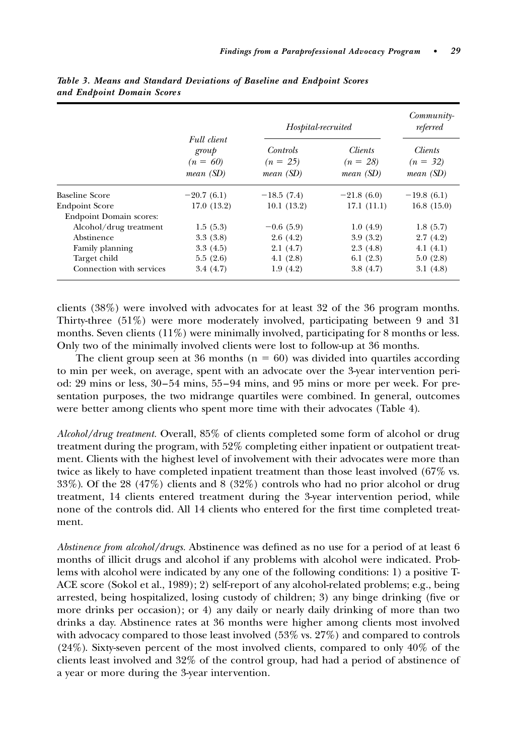|                                |                                                                 | Hospital-recruited                        | $Commu$ nity-<br>referred                |                                                    |
|--------------------------------|-----------------------------------------------------------------|-------------------------------------------|------------------------------------------|----------------------------------------------------|
|                                | <b>Full</b> client<br>group<br>$(n = 60)$<br><i>mean</i> $(SD)$ | <i>Controls</i><br>$(n = 25)$<br>mean(SD) | <i>Clients</i><br>$(n = 28)$<br>mean(SD) | <i>Clients</i><br>$(n = 32)$<br><i>mean</i> $(SD)$ |
| Baseline Score                 | $-20.7(6.1)$                                                    | $-18.5(7.4)$                              | $-21.8(6.0)$                             | $-19.8(6.1)$                                       |
| <b>Endpoint Score</b>          | 17.0(13.2)                                                      | 10.1(13.2)                                | 17.1(11.1)                               | 16.8(15.0)                                         |
| <b>Endpoint Domain scores:</b> |                                                                 |                                           |                                          |                                                    |
| Alcohol/drug treatment         | 1.5(5.3)                                                        | $-0.6(5.9)$                               | 1.0(4.9)                                 | 1.8(5.7)                                           |
| Abstinence                     | 3.3(3.8)                                                        | 2.6(4.2)                                  | 3.9(3.2)                                 | 2.7(4.2)                                           |
| Family planning                | 3.3(4.5)                                                        | 2.1(4.7)                                  | 2.3(4.8)                                 | 4.1(4.1)                                           |
| Target child                   | 5.5(2.6)                                                        | 4.1 $(2.8)$                               | 6.1 $(2.3)$                              | 5.0(2.8)                                           |
| Connection with services       | 3.4(4.7)                                                        | 1.9(4.2)                                  | 3.8(4.7)                                 | 3.1(4.8)                                           |

*Table 3. Means and Standard Deviations of Baseline and Endpoint Scores and Endpoint Domain Score s*

clients (38%) were involved with advocates for at least 32 of the 36 program months. Thirty-three (51%) were more moderately involved, participating between 9 and 31 months. Seven clients (11%) were minimally involved, participating for 8 months or less. Only two of the minimally involved clients were lost to follow-up at 36 months.

The client group seen at 36 months ( $n = 60$ ) was divided into quartiles according to min per week, on average, spent with an advocate over the 3-year intervention period: 29 mins or less, 30–54 mins, 55–94 mins, and 95 mins or more per week. For presentation purposes, the two midrange quartiles were combined. In general, outcomes were better among clients who spent more time with their advocates (Table 4).

*Alcohol/drug treatment.* Overall, 85% of clients completed some form of alcohol or drug treatment during the program, with 52% completing either inpatient or outpatient treatment. Clients with the highest level of involvement with their advocates were more than twice as likely to have completed inpatient treatment than those least involved (67% vs. 33%). Of the 28 (47%) clients and 8 (32%) controls who had no prior alcohol or drug treatment, 14 clients entered treatment during the 3-year intervention period, while none of the controls did. All 14 clients who entered for the first time completed treatment.

*Abstinence from alcohol/drugs.* Abstinence was defined as no use for a period of at least 6 months of illicit drugs and alcohol if any problems with alcohol were indicated. Problems with alcohol were indicated by any one of the following conditions: 1) a positive T-ACE score (Sokol et al., 1989); 2) self-report of any alcohol-related problems; e.g., being arrested, being hospitalized, losing custody of children; 3) any binge drinking (five or more drinks per occasion); or 4) any daily or nearly daily drinking of more than two drinks a day. Abstinence rates at 36 months were higher among clients most involved with advocacy compared to those least involved (53% vs. 27%) and compared to controls (24%). Sixty-seven percent of the most involved clients, compared to only 40% of the clients least involved and 32% of the control group, had had a period of abstinence of a year or more during the 3-year intervention.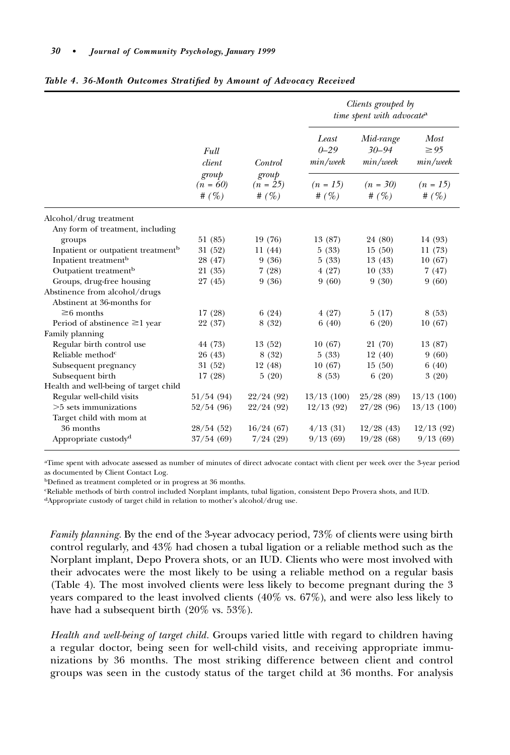|                                                |                                |                                |                               | Clients grouped by<br>time spent with advocate <sup>a</sup> |                                      |
|------------------------------------------------|--------------------------------|--------------------------------|-------------------------------|-------------------------------------------------------------|--------------------------------------|
|                                                | Full<br>client                 | Control                        | Least<br>$0 - 29$<br>min/week | Mid-range<br>$30 - 94$<br>min/week                          | <b>Most</b><br>$\geq 95$<br>min/week |
|                                                | group<br>$(n = 60)$<br># $(%)$ | group<br>$(n = 25)$<br># $(%)$ | $(n = 15)$<br># $( %)$        | $(n = 30)$<br># $( %)$                                      | $(n = 15)$<br># $(%)$                |
| Alcohol/drug treatment                         |                                |                                |                               |                                                             |                                      |
| Any form of treatment, including               |                                |                                |                               |                                                             |                                      |
| groups                                         | 51 (85)                        | 19 (76)                        | 13 (87)                       | 24 (80)                                                     | 14 (93)                              |
| Inpatient or outpatient treatment <sup>b</sup> | 31 (52)                        | 11(44)                         | 5(33)                         | 15(50)                                                      | 11 (73)                              |
| Inpatient treatment <sup>b</sup>               | 28 (47)                        | 9(36)                          | 5(33)                         | 13(43)                                                      | 10(67)                               |
| Outpatient treatment <sup>b</sup>              | 21 (35)                        | 7(28)                          | 4(27)                         | 10(33)                                                      | 7(47)                                |
| Groups, drug-free housing                      | 27 (45)                        | 9(36)                          | 9(60)                         | 9(30)                                                       | 9(60)                                |
| Abstinence from alcohol/drugs                  |                                |                                |                               |                                                             |                                      |
| Abstinent at 36-months for                     |                                |                                |                               |                                                             |                                      |
| $\geq 6$ months                                | 17 (28)                        | 6(24)                          | 4(27)                         | 5(17)                                                       | 8(53)                                |
| Period of abstinence $\geq$ 1 year             | 22 (37)                        | 8(32)                          | 6(40)                         | 6(20)                                                       | 10(67)                               |
| Family planning                                |                                |                                |                               |                                                             |                                      |
| Regular birth control use                      | 44 (73)                        | 13 (52)                        | 10(67)                        | 21 (70)                                                     | 13 (87)                              |
| Reliable method <sup>c</sup>                   | 26(43)                         | 8(32)                          | 5(33)                         | 12(40)                                                      | 9(60)                                |
| Subsequent pregnancy                           | 31 (52)                        | 12 (48)                        | 10(67)                        | 15(50)                                                      | 6(40)                                |
| Subsequent birth                               | 17 (28)                        | 5(20)                          | 8(53)                         | 6(20)                                                       | 3(20)                                |
| Health and well-being of target child          |                                |                                |                               |                                                             |                                      |
| Regular well-child visits                      | 51/54(94)                      | 22/24(92)                      | 13/13(100)                    | 25/28(89)                                                   | 13/13(100)                           |
| $>5$ sets immunizations                        | 52/54(96)                      | 22/24(92)                      | 12/13(92)                     | 27/28(96)                                                   | 13/13(100)                           |
| Target child with mom at                       |                                |                                |                               |                                                             |                                      |
| 36 months                                      | 28/54(52)                      | 16/24(67)                      | 4/13(31)                      | 12/28(43)                                                   | 12/13(92)                            |
| Appropriate custody <sup>d</sup>               | 37/54(69)                      | 7/24(29)                       | 9/13(69)                      | 19/28(68)                                                   | 9/13(69)                             |

#### *Table 4. 36-Month Outcomes Stratified by Amount of Advocacy Received*

a Time spent with advocate assessed as number of minutes of direct advocate contact with client per week over the 3-year period as documented by Client Contact Log.

bDefined as treatment completed or in progress at 36 months.

c Reliable methods of birth control included Norplant implants, tubal ligation, consistent Depo Provera shots, and IUD.

dAppropriate custody of target child in relation to mother's alcohol/drug use.

*Family planning.* By the end of the 3-year advocacy period, 73% of clients were using birth control regularly, and 43% had chosen a tubal ligation or a reliable method such as the Norplant implant, Depo Provera shots, or an IUD. Clients who were most involved with their advocates were the most likely to be using a reliable method on a regular basis (Table 4). The most involved clients were less likely to become pregnant during the 3 years compared to the least involved clients (40% vs. 67%), and were also less likely to have had a subsequent birth (20% vs. 53%).

*Health and well-being of target child.* Groups varied little with regard to children having a regular doctor, being seen for well-child visits, and receiving appropriate immunizations by 36 months. The most striking difference between client and control groups was seen in the custody status of the target child at 36 months. For analysis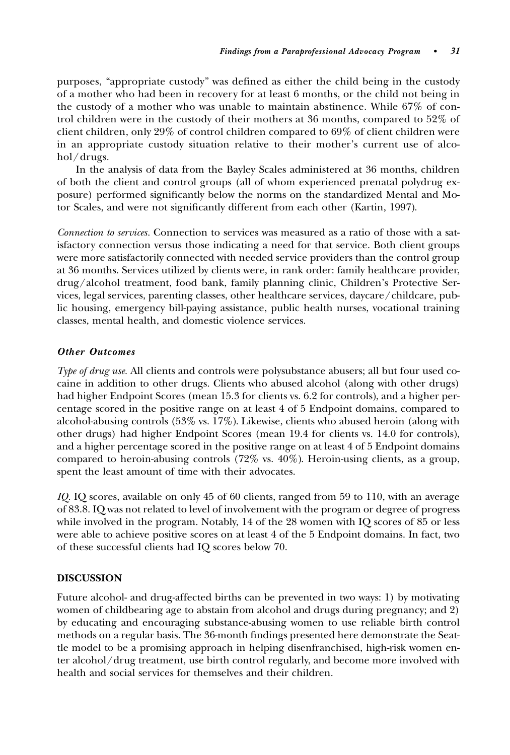purposes, "appropriate custody" was defined as either the child being in the custody of a mother who had been in recovery for at least 6 months, or the child not being in the custody of a mother who was unable to maintain abstinence. While 67% of control children were in the custody of their mothers at 36 months, compared to 52% of client children, only 29% of control children compared to 69% of client children were in an appropriate custody situation relative to their mother's current use of alcohol/drugs.

In the analysis of data from the Bayley Scales administered at 36 months, children of both the client and control groups (all of whom experienced prenatal polydrug exposure) performed significantly below the norms on the standardized Mental and Motor Scales, and were not significantly different from each other (Kartin, 1997).

*Connection to services.* Connection to services was measured as a ratio of those with a satisfactory connection versus those indicating a need for that service. Both client groups were more satisfactorily connected with needed service providers than the control group at 36 months. Services utilized by clients were, in rank order: family healthcare provider, drug/alcohol treatment, food bank, family planning clinic, Children's Protective Services, legal services, parenting classes, other healthcare services, daycare/childcare, public housing, emergency bill-paying assistance, public health nurses, vocational training classes, mental health, and domestic violence services.

# *Other Outcomes*

*Type of drug use.* All clients and controls were polysubstance abusers; all but four used cocaine in addition to other drugs. Clients who abused alcohol (along with other drugs) had higher Endpoint Scores (mean 15.3 for clients vs. 6.2 for controls), and a higher percentage scored in the positive range on at least 4 of 5 Endpoint domains, compared to alcohol-abusing controls (53% vs. 17%). Likewise, clients who abused heroin (along with other drugs) had higher Endpoint Scores (mean 19.4 for clients vs. 14.0 for controls), and a higher percentage scored in the positive range on at least 4 of 5 Endpoint domains compared to heroin-abusing controls (72% vs. 40%). Heroin-using clients, as a group, spent the least amount of time with their advocates.

*IQ.* IQ scores, available on only 45 of 60 clients, ranged from 59 to 110, with an average of 83.8. IQ was not related to level of involvement with the program or degree of progress while involved in the program. Notably, 14 of the 28 women with IQ scores of 85 or less were able to achieve positive scores on at least 4 of the 5 Endpoint domains. In fact, two of these successful clients had IQ scores below 70.

### **DISCUSSION**

Future alcohol- and drug-affected births can be prevented in two ways: 1) by motivating women of childbearing age to abstain from alcohol and drugs during pregnancy; and 2) by educating and encouraging substance-abusing women to use reliable birth control methods on a regular basis. The 36-month findings presented here demonstrate the Seattle model to be a promising approach in helping disenfranchised, high-risk women enter alcohol/drug treatment, use birth control regularly, and become more involved with health and social services for themselves and their children.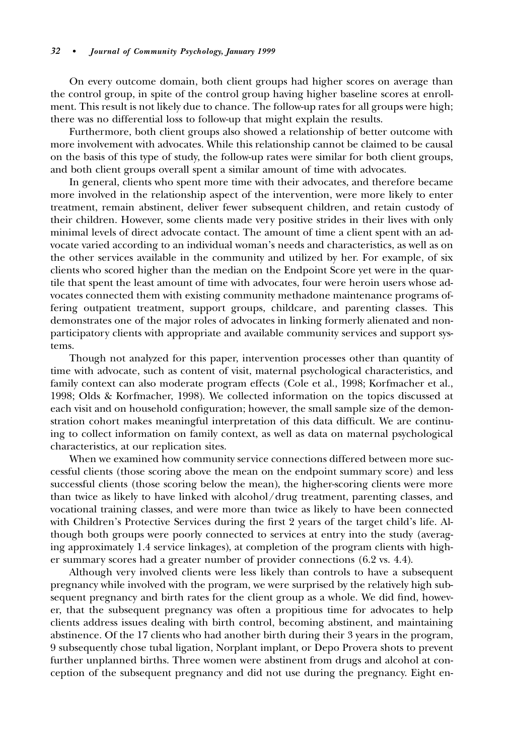#### *32 • Journal of Community Psychology, January 1999*

On every outcome domain, both client groups had higher scores on average than the control group, in spite of the control group having higher baseline scores at enrollment. This result is not likely due to chance. The follow-up rates for all groups were high; there was no differential loss to follow-up that might explain the results.

Furthermore, both client groups also showed a relationship of better outcome with more involvement with advocates. While this relationship cannot be claimed to be causal on the basis of this type of study, the follow-up rates were similar for both client groups, and both client groups overall spent a similar amount of time with advocates.

In general, clients who spent more time with their advocates, and therefore became more involved in the relationship aspect of the intervention, were more likely to enter treatment, remain abstinent, deliver fewer subsequent children, and retain custody of their children. However, some clients made very positive strides in their lives with only minimal levels of direct advocate contact. The amount of time a client spent with an advocate varied according to an individual woman's needs and characteristics, as well as on the other services available in the community and utilized by her. For example, of six clients who scored higher than the median on the Endpoint Score yet were in the quartile that spent the least amount of time with advocates, four were heroin users whose advocates connected them with existing community methadone maintenance programs offering outpatient treatment, support groups, childcare, and parenting classes. This demonstrates one of the major roles of advocates in linking formerly alienated and nonparticipatory clients with appropriate and available community services and support systems.

Though not analyzed for this paper, intervention processes other than quantity of time with advocate, such as content of visit, maternal psychological characteristics, and family context can also moderate program effects (Cole et al., 1998; Korfmacher et al., 1998; Olds & Korfmacher, 1998). We collected information on the topics discussed at each visit and on household configuration; however, the small sample size of the demonstration cohort makes meaningful interpretation of this data difficult. We are continuing to collect information on family context, as well as data on maternal psychological characteristics, at our replication sites.

When we examined how community service connections differed between more successful clients (those scoring above the mean on the endpoint summary score) and less successful clients (those scoring below the mean), the higher-scoring clients were more than twice as likely to have linked with alcohol/drug treatment, parenting classes, and vocational training classes, and were more than twice as likely to have been connected with Children's Protective Services during the first 2 years of the target child's life. Although both groups were poorly connected to services at entry into the study (averaging approximately 1.4 service linkages), at completion of the program clients with higher summary scores had a greater number of provider connections (6.2 vs. 4.4).

Although very involved clients were less likely than controls to have a subsequent pregnancy while involved with the program, we were surprised by the relatively high subsequent pregnancy and birth rates for the client group as a whole. We did find, however, that the subsequent pregnancy was often a propitious time for advocates to help clients address issues dealing with birth control, becoming abstinent, and maintaining abstinence. Of the 17 clients who had another birth during their 3 years in the program, 9 subsequently chose tubal ligation, Norplant implant, or Depo Provera shots to prevent further unplanned births. Three women were abstinent from drugs and alcohol at conception of the subsequent pregnancy and did not use during the pregnancy. Eight en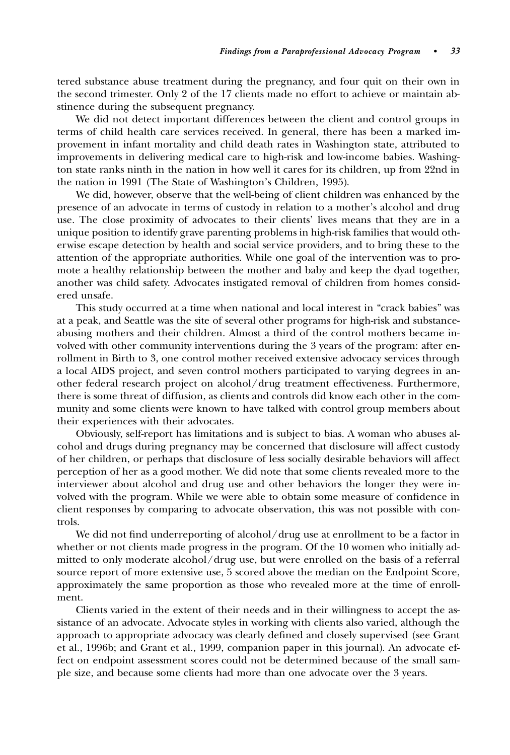tered substance abuse treatment during the pregnancy, and four quit on their own in the second trimester. Only 2 of the 17 clients made no effort to achieve or maintain abstinence during the subsequent pregnancy.

We did not detect important differences between the client and control groups in terms of child health care services received. In general, there has been a marked improvement in infant mortality and child death rates in Washington state, attributed to improvements in delivering medical care to high-risk and low-income babies. Washington state ranks ninth in the nation in how well it cares for its children, up from 22nd in the nation in 1991 (The State of Washington's Children, 1995).

We did, however, observe that the well-being of client children was enhanced by the presence of an advocate in terms of custody in relation to a mother's alcohol and drug use. The close proximity of advocates to their clients' lives means that they are in a unique position to identify grave parenting problems in high-risk families that would otherwise escape detection by health and social service providers, and to bring these to the attention of the appropriate authorities. While one goal of the intervention was to promote a healthy relationship between the mother and baby and keep the dyad together, another was child safety. Advocates instigated removal of children from homes considered unsafe.

This study occurred at a time when national and local interest in "crack babies" was at a peak, and Seattle was the site of several other programs for high-risk and substanceabusing mothers and their children. Almost a third of the control mothers became involved with other community interventions during the 3 years of the program: after enrollment in Birth to 3, one control mother received extensive advocacy services through a local AIDS project, and seven control mothers participated to varying degrees in another federal research project on alcohol/drug treatment effectiveness. Furthermore, there is some threat of diffusion, as clients and controls did know each other in the community and some clients were known to have talked with control group members about their experiences with their advocates.

Obviously, self-report has limitations and is subject to bias. A woman who abuses alcohol and drugs during pregnancy may be concerned that disclosure will affect custody of her children, or perhaps that disclosure of less socially desirable behaviors will affect perception of her as a good mother. We did note that some clients revealed more to the interviewer about alcohol and drug use and other behaviors the longer they were involved with the program. While we were able to obtain some measure of confidence in client responses by comparing to advocate observation, this was not possible with controls.

We did not find underreporting of alcohol/drug use at enrollment to be a factor in whether or not clients made progress in the program. Of the 10 women who initially admitted to only moderate alcohol/drug use, but were enrolled on the basis of a referral source report of more extensive use, 5 scored above the median on the Endpoint Score, approximately the same proportion as those who revealed more at the time of enrollment.

Clients varied in the extent of their needs and in their willingness to accept the assistance of an advocate. Advocate styles in working with clients also varied, although the approach to appropriate advocacy was clearly defined and closely supervised (see Grant et al., 1996b; and Grant et al., 1999, companion paper in this journal). An advocate effect on endpoint assessment scores could not be determined because of the small sample size, and because some clients had more than one advocate over the 3 years.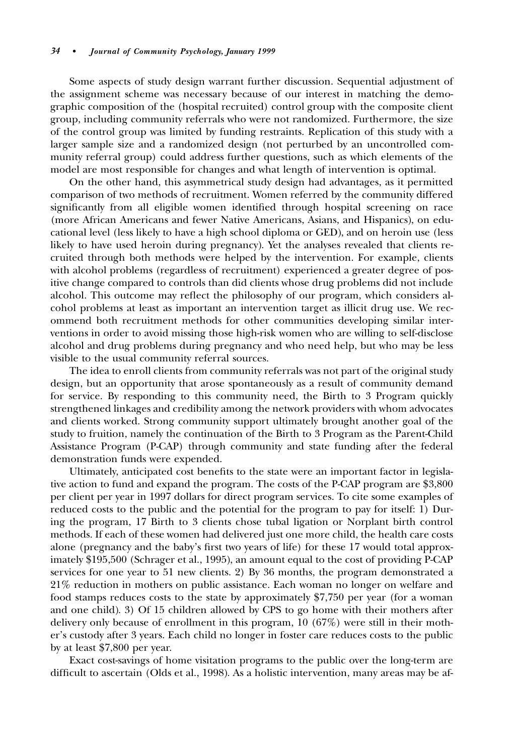Some aspects of study design warrant further discussion. Sequential adjustment of the assignment scheme was necessary because of our interest in matching the demographic composition of the (hospital recruited) control group with the composite client group, including community referrals who were not randomized. Furthermore, the size of the control group was limited by funding restraints. Replication of this study with a larger sample size and a randomized design (not perturbed by an uncontrolled community referral group) could address further questions, such as which elements of the model are most responsible for changes and what length of intervention is optimal.

On the other hand, this asymmetrical study design had advantages, as it permitted comparison of two methods of recruitment. Women referred by the community differed significantly from all eligible women identified through hospital screening on race (more African Americans and fewer Native Americans, Asians, and Hispanics), on educational level (less likely to have a high school diploma or GED), and on heroin use (less likely to have used heroin during pregnancy). Yet the analyses revealed that clients recruited through both methods were helped by the intervention. For example, clients with alcohol problems (regardless of recruitment) experienced a greater degree of positive change compared to controls than did clients whose drug problems did not include alcohol. This outcome may reflect the philosophy of our program, which considers alcohol problems at least as important an intervention target as illicit drug use. We recommend both recruitment methods for other communities developing similar interventions in order to avoid missing those high-risk women who are willing to self-disclose alcohol and drug problems during pregnancy and who need help, but who may be less visible to the usual community referral sources.

The idea to enroll clients from community referrals was not part of the original study design, but an opportunity that arose spontaneously as a result of community demand for service. By responding to this community need, the Birth to 3 Program quickly strengthened linkages and credibility among the network providers with whom advocates and clients worked. Strong community support ultimately brought another goal of the study to fruition, namely the continuation of the Birth to 3 Program as the Parent-Child Assistance Program (P-CAP) through community and state funding after the federal demonstration funds were expended.

Ultimately, anticipated cost benefits to the state were an important factor in legislative action to fund and expand the program. The costs of the P-CAP program are \$3,800 per client per year in 1997 dollars for direct program services. To cite some examples of reduced costs to the public and the potential for the program to pay for itself: 1) During the program, 17 Birth to 3 clients chose tubal ligation or Norplant birth control methods. If each of these women had delivered just one more child, the health care costs alone (pregnancy and the baby's first two years of life) for these 17 would total approximately \$195,500 (Schrager et al., 1995), an amount equal to the cost of providing P-CAP services for one year to 51 new clients. 2) By 36 months, the program demonstrated a 21% reduction in mothers on public assistance. Each woman no longer on welfare and food stamps reduces costs to the state by approximately \$7,750 per year (for a woman and one child). 3) Of 15 children allowed by CPS to go home with their mothers after delivery only because of enrollment in this program, 10 (67%) were still in their mother's custody after 3 years. Each child no longer in foster care reduces costs to the public by at least \$7,800 per year.

Exact cost-savings of home visitation programs to the public over the long-term are difficult to ascertain (Olds et al., 1998). As a holistic intervention, many areas may be af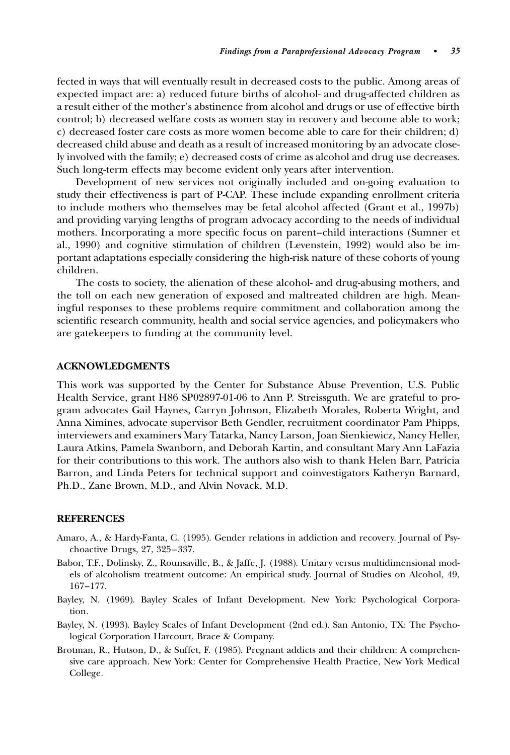fected in ways that will eventually result in decreased costs to the public. Among areas of expected impact are: a) reduced future births of alcohol- and drug-affected children as a result either of the mother's abstinence from alcohol and drugs or use of effective birth control; b) decreased welfare costs as women stay in recovery and become able to work; c) decreased foster care costs as more women become able to care for their children; d) decreased child abuse and death as a result of increased monitoring by an advocate closely involved with the family; e) decreased costs of crime as alcohol and drug use decreases. Such long-term effects may become evident only years after intervention.

Development of new services not originally included and on-going evaluation to study their effectiveness is part of P-CAP. These include expanding enrollment criteria to include mothers who themselves may be fetal alcohol affected (Grant et al., 1997b) and providing varying lengths of program advocacy according to the needs of individual mothers. Incorporating a more specific focus on parent–child interactions (Sumner et al., 1990) and cognitive stimulation of children (Levenstein, 1992) would also be important adaptations especially considering the high-risk nature of these cohorts of young children.

The costs to society, the alienation of these alcohol- and drug-abusing mothers, and the toll on each new generation of exposed and maltreated children are high. Meaningful responses to these problems require commitment and collaboration among the scientific research community, health and social service agencies, and policymakers who are gatekeepers to funding at the community level.

#### **ACKNOWLEDGMENTS**

This work was supported by the Center for Substance Abuse Prevention, U.S. Public Health Service, grant H86 SP02897-01-06 to Ann P. Streissguth. We are grateful to program advocates Gail Haynes, Carryn Johnson, Elizabeth Morales, Roberta Wright, and Anna Ximines, advocate supervisor Beth Gendler, recruitment coordinator Pam Phipps, interviewers and examiners Mary Tatarka, Nancy Larson, Joan Sienkiewicz, Nancy Heller, Laura Atkins, Pamela Swanborn, and Deborah Kartin, and consultant Mary Ann LaFazia for their contributions to this work. The authors also wish to thank Helen Barr, Patricia Barron, and Linda Peters for technical support and coinvestigators Katheryn Barnard, Ph.D., Zane Brown, M.D., and Alvin Novack, M.D.

### **REFERENCES**

- Amaro, A., & Hardy-Fanta, C. (1995). Gender relations in addiction and recovery. Journal of Psychoactive Drugs, 27, 325–337.
- Babor, T.F., Dolinsky, Z., Rounsaville, B., & Jaffe, J. (1988). Unitary versus multidimensional models of alcoholism treatment outcome: An empirical study. Journal of Studies on Alcohol, 49, 167–177.
- Bayley, N. (1969). Bayley Scales of Infant Development. New York: Psychological Corporation.
- Bayley, N. (1993). Bayley Scales of Infant Development (2nd ed.). San Antonio, TX: The Psychological Corporation Harcourt, Brace & Company.
- Brotman, R., Hutson, D., & Suffet, F. (1985). Pregnant addicts and their children: A comprehensive care approach. New York: Center for Comprehensive Health Practice, New York Medical College.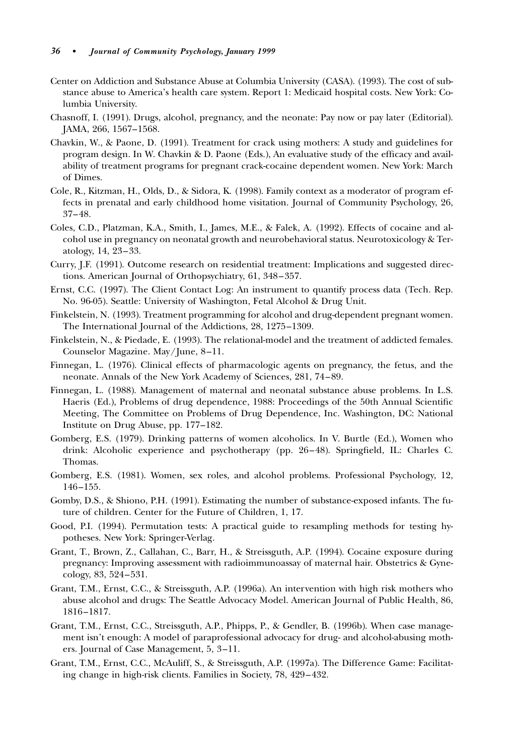- Center on Addiction and Substance Abuse at Columbia University (CASA). (1993). The cost of substance abuse to America's health care system. Report 1: Medicaid hospital costs. New York: Columbia University.
- Chasnoff, I. (1991). Drugs, alcohol, pregnancy, and the neonate: Pay now or pay later (Editorial). JAMA, 266, 1567–1568.
- Chavkin, W., & Paone, D. (1991). Treatment for crack using mothers: A study and guidelines for program design. In W. Chavkin & D. Paone (Eds.), An evaluative study of the efficacy and availability of treatment programs for pregnant crack-cocaine dependent women. New York: March of Dimes.
- Cole, R., Kitzman, H., Olds, D., & Sidora, K. (1998). Family context as a moderator of program effects in prenatal and early childhood home visitation. Journal of Community Psychology, 26, 37–48.
- Coles, C.D., Platzman, K.A., Smith, I., James, M.E., & Falek, A. (1992). Effects of cocaine and alcohol use in pregnancy on neonatal growth and neurobehavioral status. Neurotoxicology & Teratology, 14, 23–33.
- Curry, J.F. (1991). Outcome research on residential treatment: Implications and suggested directions. American Journal of Orthopsychiatry, 61, 348–357.
- Ernst, C.C. (1997). The Client Contact Log: An instrument to quantify process data (Tech. Rep. No. 96-05). Seattle: University of Washington, Fetal Alcohol & Drug Unit.
- Finkelstein, N. (1993). Treatment programming for alcohol and drug-dependent pregnant women. The International Journal of the Addictions, 28, 1275–1309.
- Finkelstein, N., & Piedade, E. (1993). The relational-model and the treatment of addicted females. Counselor Magazine. May/June, 8–11.
- Finnegan, L. (1976). Clinical effects of pharmacologic agents on pregnancy, the fetus, and the neonate. Annals of the New York Academy of Sciences, 281, 74–89.
- Finnegan, L. (1988). Management of maternal and neonatal substance abuse problems. In L.S. Haeris (Ed.), Problems of drug dependence, 1988: Proceedings of the 50th Annual Scientific Meeting, The Committee on Problems of Drug Dependence, Inc. Washington, DC: National Institute on Drug Abuse, pp. 177–182.
- Gomberg, E.S. (1979). Drinking patterns of women alcoholics. In V. Burtle (Ed.), Women who drink: Alcoholic experience and psychotherapy (pp. 26–48). Springfield, IL: Charles C. Thomas.
- Gomberg, E.S. (1981). Women, sex roles, and alcohol problems. Professional Psychology, 12, 146–155.
- Gomby, D.S., & Shiono, P.H. (1991). Estimating the number of substance-exposed infants. The future of children. Center for the Future of Children, 1, 17.
- Good, P.I. (1994). Permutation tests: A practical guide to resampling methods for testing hypotheses. New York: Springer-Verlag.
- Grant, T., Brown, Z., Callahan, C., Barr, H., & Streissguth, A.P. (1994). Cocaine exposure during pregnancy: Improving assessment with radioimmunoassay of maternal hair. Obstetrics & Gynecology, 83, 524–531.
- Grant, T.M., Ernst, C.C., & Streissguth, A.P. (1996a). An intervention with high risk mothers who abuse alcohol and drugs: The Seattle Advocacy Model. American Journal of Public Health, 86, 1816–1817.
- Grant, T.M., Ernst, C.C., Streissguth, A.P., Phipps, P., & Gendler, B. (1996b). When case management isn't enough: A model of paraprofessional advocacy for drug- and alcohol-abusing mothers. Journal of Case Management, 5, 3–11.
- Grant, T.M., Ernst, C.C., McAuliff, S., & Streissguth, A.P. (1997a). The Difference Game: Facilitating change in high-risk clients. Families in Society, 78, 429–432.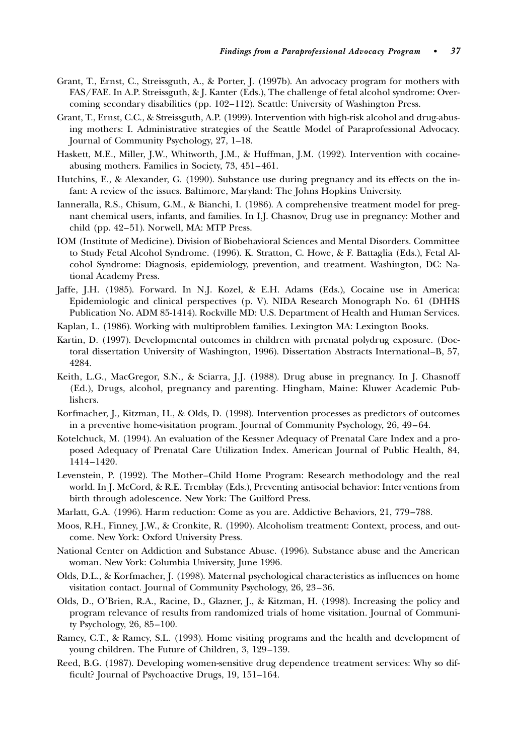- Grant, T., Ernst, C., Streissguth, A., & Porter, J. (1997b). An advocacy program for mothers with FAS/FAE. In A.P. Streissguth, & J. Kanter (Eds.), The challenge of fetal alcohol syndrome: Overcoming secondary disabilities (pp. 102–112). Seattle: University of Washington Press.
- Grant, T., Ernst, C.C., & Streissguth, A.P. (1999). Intervention with high-risk alcohol and drug-abusing mothers: I. Administrative strategies of the Seattle Model of Paraprofessional Advocacy. Journal of Community Psychology, 27, 1–18.
- Haskett, M.E., Miller, J.W., Whitworth, J.M., & Huffman, J.M. (1992). Intervention with cocaineabusing mothers. Families in Society, 73, 451–461.
- Hutchins, E., & Alexander, G. (1990). Substance use during pregnancy and its effects on the infant: A review of the issues. Baltimore, Maryland: The Johns Hopkins University.
- Ianneralla, R.S., Chisum, G.M., & Bianchi, I. (1986). A comprehensive treatment model for pregnant chemical users, infants, and families. In I.J. Chasnov, Drug use in pregnancy: Mother and child (pp. 42–51). Norwell, MA: MTP Press.
- IOM (Institute of Medicine). Division of Biobehavioral Sciences and Mental Disorders. Committee to Study Fetal Alcohol Syndrome. (1996). K. Stratton, C. Howe, & F. Battaglia (Eds.), Fetal Alcohol Syndrome: Diagnosis, epidemiology, prevention, and treatment. Washington, DC: National Academy Press.
- Jaffe, J.H. (1985). Forward. In N.J. Kozel, & E.H. Adams (Eds.), Cocaine use in America: Epidemiologic and clinical perspectives (p. V). NIDA Research Monograph No. 61 (DHHS Publication No. ADM 85-1414). Rockville MD: U.S. Department of Health and Human Services.
- Kaplan, L. (1986). Working with multiproblem families. Lexington MA: Lexington Books.
- Kartin, D. (1997). Developmental outcomes in children with prenatal polydrug exposure. (Doctoral dissertation University of Washington, 1996). Dissertation Abstracts International–B, 57, 4284.
- Keith, L.G., MacGregor, S.N., & Sciarra, J.J. (1988). Drug abuse in pregnancy. In J. Chasnoff (Ed.), Drugs, alcohol, pregnancy and parenting. Hingham, Maine: Kluwer Academic Publishers.
- Korfmacher, J., Kitzman, H., & Olds, D. (1998). Intervention processes as predictors of outcomes in a preventive home-visitation program. Journal of Community Psychology, 26, 49–64.
- Kotelchuck, M. (1994). An evaluation of the Kessner Adequacy of Prenatal Care Index and a proposed Adequacy of Prenatal Care Utilization Index. American Journal of Public Health, 84, 1414–1420.
- Levenstein, P. (1992). The Mother–Child Home Program: Research methodology and the real world. In J. McCord, & R.E. Tremblay (Eds.), Preventing antisocial behavior: Interventions from birth through adolescence. New York: The Guilford Press.
- Marlatt, G.A. (1996). Harm reduction: Come as you are. Addictive Behaviors, 21, 779–788.
- Moos, R.H., Finney, J.W., & Cronkite, R. (1990). Alcoholism treatment: Context, process, and outcome. New York: Oxford University Press.
- National Center on Addiction and Substance Abuse. (1996). Substance abuse and the American woman. New York: Columbia University, June 1996.
- Olds, D.L., & Korfmacher, J. (1998). Maternal psychological characteristics as influences on home visitation contact. Journal of Community Psychology, 26, 23–36.
- Olds, D., O'Brien, R.A., Racine, D., Glazner, J., & Kitzman, H. (1998). Increasing the policy and program relevance of results from randomized trials of home visitation. Journal of Community Psychology, 26, 85–100.
- Ramey, C.T., & Ramey, S.L. (1993). Home visiting programs and the health and development of young children. The Future of Children, 3, 129–139.
- Reed, B.G. (1987). Developing women-sensitive drug dependence treatment services: Why so difficult? Journal of Psychoactive Drugs, 19, 151–164.